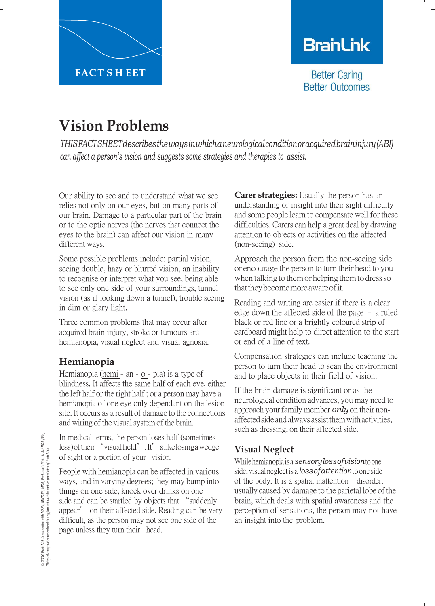

## **BranLink**

**Better Caring Better Outcomes** 

# **Vision Problems**

*THISFACTSHEETdescribesthewaysinwhichaneurologicalconditionoracquiredbraininjury(ABI) can affect a person's vision and suggests some strategies and therapies to assist.*

Our ability to see and to understand what we see relies not only on our eyes, but on many parts of our brain. Damage to a particular part of the brain or to the optic nerves (the nerves that connect the eyes to the brain) can affect our vision in many different ways.

Some possible problems include: partial vision, seeing double, hazy or blurred vision, an inability to recognise or interpret what you see, being able to see only one side of your surroundings, tunnel vision (as if looking down a tunnel), trouble seeing in dim or glary light.

Three common problems that may occur after acquired brain injury, stroke or tumours are hemianopia, visual neglect and visual agnosia.

## **Hemianopia**

Hemianopia (hemi - an -  $Q -$  pia) is a type of blindness. It affects the same half of each eye, either the left half or the right half ; or a person may have a hemianopia of one eye only dependant on the lesion site. It occurs as a result of damage to the connections and wiring of the visual system of the brain.

In medical terms, the person loses half (sometimes less)oftheir"visualfield".It'slikelosingawedge of sight or a portion of your vision.

People with hemianopia can be affected in various ways, and in varying degrees; they may bump into things on one side, knock over drinks on one side and can be startled by objects that "suddenly appear" on their affected side. Reading can be very difficult, as the person may not see one side of the page unless they turn their head.

**Carer strategies:** Usually the person has an understanding or insight into their sight difficulty and some people learn to compensate well for these difficulties. Carers can help a great deal by drawing attention to objects or activities on the affected (non-seeing) side.

Approach the person from the non-seeing side or encourage the person to turn their head to you when talking to them or helping them to dress so thattheybecomemoreawareofit.

Reading and writing are easier if there is a clear edge down the affected side of the page – a ruled black or red line or a brightly coloured strip of cardboard might help to direct attention to the start or end of a line of text.

Compensation strategies can include teaching the person to turn their head to scan the environment and to place objects in their field of vision.

If the brain damage is significant or as the neurological condition advances, you may need to approach your family member *only* on their nonaffectedsideand always assistthemwithactivities, such as dressing, on their affected side.

## **Visual Neglect**

Whilehemianopiaisa*sensorylossofvision*toone side,visualneglectis a *lossofattention*to one side of the body. It is a spatial inattention disorder, usually caused by damage to the parietal lobe of the brain, which deals with spatial awareness and the perception of sensations, the person may not have an insight into the problem.